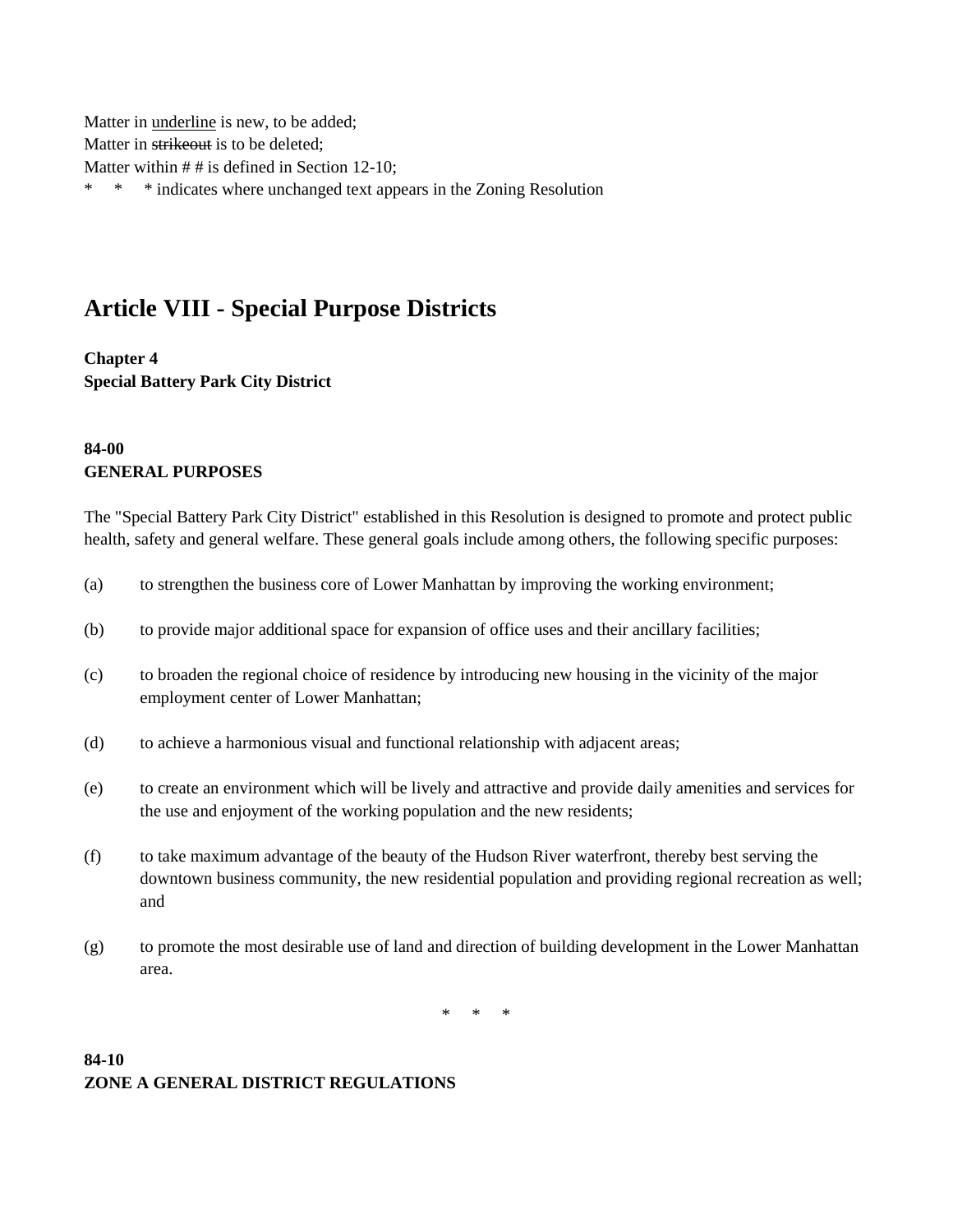Matter in underline is new, to be added; Matter in strikeout is to be deleted; Matter within # # is defined in Section 12-10; \* \* \* indicates where unchanged text appears in the Zoning Resolution

# **Article VIII - Special Purpose Districts**

**Chapter 4 Special Battery Park City District**

### **84-00 GENERAL PURPOSES**

The "Special Battery Park City District" established in this Resolution is designed to promote and protect public health, safety and general welfare. These general goals include among others, the following specific purposes:

- (a) to strengthen the business core of Lower Manhattan by improving the working environment;
- (b) to provide major additional space for expansion of office uses and their ancillary facilities;
- (c) to broaden the regional choice of residence by introducing new housing in the vicinity of the major employment center of Lower Manhattan;
- (d) to achieve a harmonious visual and functional relationship with adjacent areas;
- (e) to create an environment which will be lively and attractive and provide daily amenities and services for the use and enjoyment of the working population and the new residents;
- (f) to take maximum advantage of the beauty of the Hudson River waterfront, thereby best serving the downtown business community, the new residential population and providing regional recreation as well; and
- (g) to promote the most desirable use of land and direction of building development in the Lower Manhattan area.

\* \* \*

### **84-10 ZONE A GENERAL DISTRICT REGULATIONS**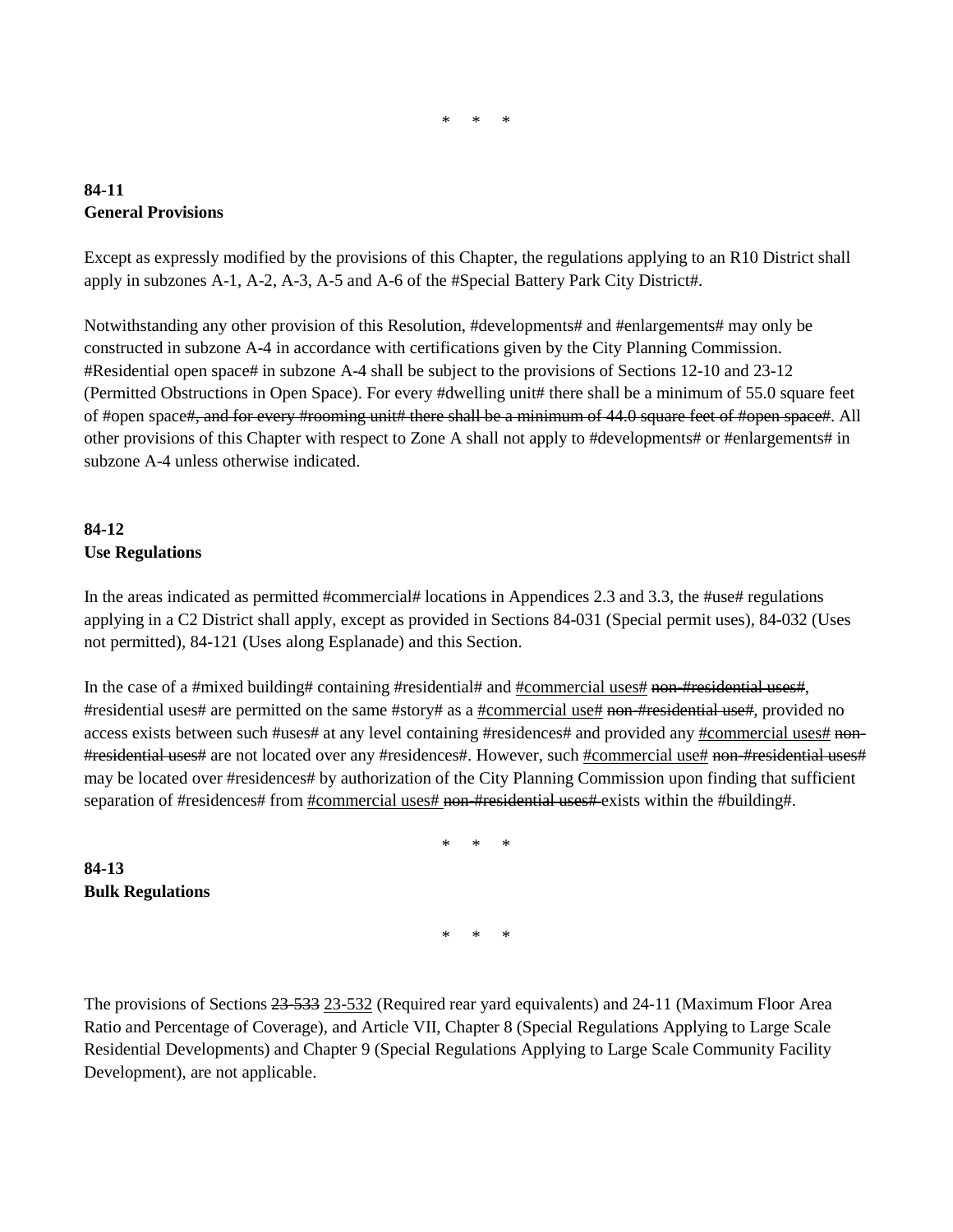#### \* \* \*

### **84-11 General Provisions**

Except as expressly modified by the provisions of this Chapter, the regulations applying to an R10 District shall apply in subzones A-1, A-2, A-3, A-5 and A-6 of the #Special Battery Park City District#.

Notwithstanding any other provision of this Resolution, #developments# and #enlargements# may only be constructed in subzone A-4 in accordance with certifications given by the City Planning Commission. #Residential open space# in subzone A-4 shall be subject to the provisions of Sections 12-10 and 23-12 (Permitted Obstructions in Open Space). For every #dwelling unit# there shall be a minimum of 55.0 square feet of #open space#, and for every #rooming unit# there shall be a minimum of 44.0 square feet of #open space#. All other provisions of this Chapter with respect to Zone A shall not apply to #developments# or #enlargements# in subzone A-4 unless otherwise indicated.

## **84-12 Use Regulations**

**84-13**

**Bulk Regulations**

In the areas indicated as permitted #commercial# locations in Appendices 2.3 and 3.3, the #use# regulations applying in a C2 District shall apply, except as provided in Sections 84-031 (Special permit uses), 84-032 (Uses not permitted), 84-121 (Uses along Esplanade) and this Section.

In the case of a #mixed building# containing #residential# and #commercial uses# non-#residential uses#, #residential uses# are permitted on the same #story# as a #commercial use# non-#residential use#, provided no access exists between such #uses# at any level containing #residences# and provided any #commercial uses# non- #residential uses# are not located over any #residences#. However, such #commercial use# non-#residential uses# may be located over #residences# by authorization of the City Planning Commission upon finding that sufficient separation of #residences# from #commercial uses# non-#residential uses# exists within the #building#.

\* \* \*

\* \* \*

The provisions of Sections 23-533 23-532 (Required rear yard equivalents) and 24-11 (Maximum Floor Area Ratio and Percentage of Coverage), and Article VII, Chapter 8 (Special Regulations Applying to Large Scale Residential Developments) and Chapter 9 (Special Regulations Applying to Large Scale Community Facility Development), are not applicable.